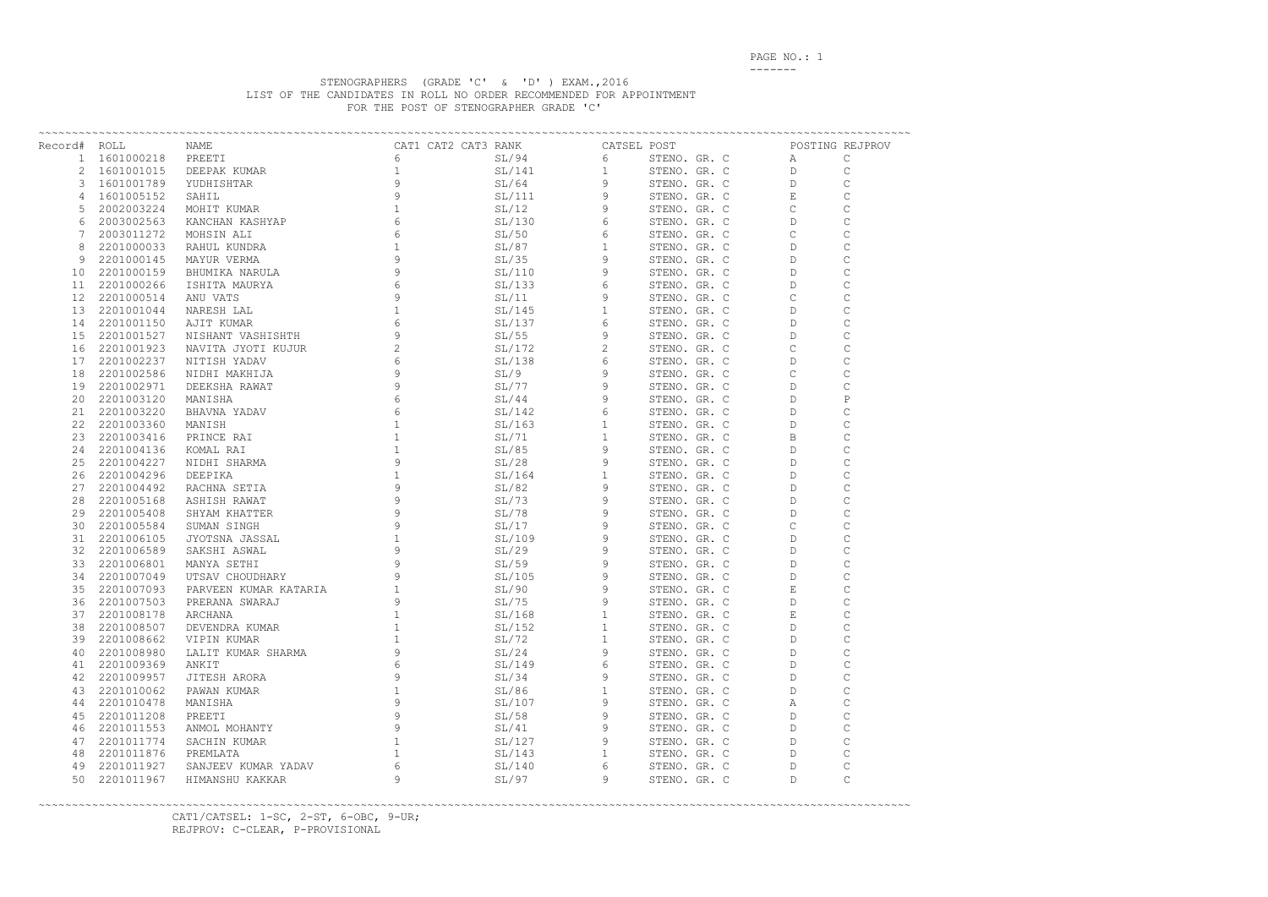PAGE NO.: 1 -------

## STENOGRAPHERS (GRADE 'C' & 'D' ) EXAM.,2016 LIST OF THE CANDIDATES IN ROLL NO ORDER RECOMMENDED FOR APPOINTMENT FOR THE POST OF STENOGRAPHER GRADE 'C'

| Record# ROLL |               |                                                       |   |        |             |              |                                                                                        |                   | POSTING REJPROV |
|--------------|---------------|-------------------------------------------------------|---|--------|-------------|--------------|----------------------------------------------------------------------------------------|-------------------|-----------------|
|              | 1 1601000218  |                                                       |   |        |             |              | STENO. GR. C<br>STENO. GR. C<br>STENO. GR. C<br>STENO. GR. C<br>STENO. GR. C<br>C<br>C |                   | $\mathsf{C}$    |
|              | 2 1601001015  |                                                       |   |        |             |              |                                                                                        |                   | $\mathsf{C}$    |
|              | 3 1601001789  |                                                       |   |        |             |              |                                                                                        |                   | $\mathsf{C}$    |
|              | 4 1601005152  |                                                       |   |        |             |              |                                                                                        |                   | $\mathsf C$     |
| 5            | 2002003224    |                                                       |   |        |             |              |                                                                                        |                   | $\mathsf{C}$    |
| 6            | 2003002563    |                                                       |   |        |             | STENO. GR. C |                                                                                        | D                 | $\mathsf C$     |
| 7            | 2003011272    |                                                       |   |        |             | STENO. GR. C |                                                                                        | $\mathsf{C}$      | $\mathsf C$     |
| 8            | 2201000033    |                                                       |   |        |             | STENO. GR. C |                                                                                        | D                 | $\mathsf{C}$    |
| 9            | 2201000145    |                                                       |   |        |             | STENO. GR. C |                                                                                        | D                 | $\mathsf C$     |
| 10           | 2201000159    |                                                       |   |        |             | STENO. GR. C |                                                                                        | D                 | $\mathsf C$     |
| 11           | 2201000266    |                                                       |   |        |             | STENO. GR. C |                                                                                        | D                 | $\mathsf C$     |
| 12           | 2201000514    |                                                       |   |        |             | STENO. GR. C |                                                                                        | $\mathsf{C}$      | $\mathsf C$     |
| 13           | 2201001044    |                                                       |   |        |             | STENO. GR. C |                                                                                        | D                 | $\mathsf C$     |
| 14           | 2201001150    |                                                       |   |        |             | STENO. GR. C |                                                                                        | D                 | $\mathsf C$     |
| 15           | 2201001527    |                                                       |   |        |             | STENO. GR. C |                                                                                        | D                 | $\mathsf C$     |
|              | 16 2201001923 |                                                       |   |        |             | STENO. GR. C |                                                                                        | $\mathsf{C}$      |                 |
| 17           | 2201002237    |                                                       |   |        |             | STENO. GR. C |                                                                                        | D                 | $\mathsf C$     |
| 18           | 2201002586    |                                                       |   |        |             |              | STENO. GR. C                                                                           | $\mathsf{C}$      | $\mathsf C$     |
|              | 19 2201002971 |                                                       |   |        |             |              | STENO. GR. C D                                                                         |                   | $\mathsf C$     |
| 20           | 2201003120    |                                                       |   |        |             |              | STENO. GR. C D                                                                         |                   | $\, {\bf P}$    |
| 21           | 2201003220    |                                                       |   |        |             |              | STENO. GR. C                                                                           | D                 |                 |
| 22           | 2201003360    |                                                       |   |        |             |              | STENO. GR. C                                                                           | $\mathsf D$       | $\mathsf C$     |
|              | 23 2201003416 |                                                       |   |        |             |              | $\overline{B}$                                                                         |                   | $\mathsf C$     |
|              |               |                                                       |   |        |             | STENO. GR. C |                                                                                        |                   |                 |
|              | 24 2201004136 |                                                       |   |        |             |              | STENO. GR. C D                                                                         |                   | $\mathsf C$     |
| 25           | 2201004227    |                                                       |   |        |             |              | STENO. GR. C                                                                           | $\Box$            | $\mathsf C$     |
| 26           | 2201004296    |                                                       |   |        |             |              | STENO. GR. C                                                                           | $D \qquad \qquad$ | $\mathsf C$     |
| 27           | 2201004492    |                                                       |   |        |             |              | STENO. GR. C                                                                           | D                 | $\mathsf C$     |
| 28           | 2201005168    |                                                       |   |        |             |              | STENO. GR. C                                                                           | D                 | $\mathsf C$     |
| 29           | 2201005408    |                                                       |   |        |             |              | STENO. GR. C                                                                           | D                 |                 |
| 30           | 2201005584    |                                                       |   |        |             |              | STENO. GR. C                                                                           | $\mathsf{C}$      | $\mathsf C$     |
| 31           | 2201006105    |                                                       |   |        |             |              | STENO. GR. C                                                                           | D                 |                 |
| 32           | 2201006589    |                                                       |   |        |             |              | STENO. GR. C                                                                           | $D \qquad \qquad$ | $\mathsf C$     |
| 33           | 2201006801    |                                                       |   |        |             |              | STENO. GR. C                                                                           | $\mathbf{D}$      | $\mathsf C$     |
| 34           | 2201007049    |                                                       |   |        |             |              | STENO. GR. C                                                                           | $\mathbb{D}$      | C               |
| 35           | 2201007093    | PARVEEN KUMAR KATARIA $1$<br>PRERANA SWARAJ 9 9 51/75 |   |        | 9           | STENO. GR. C |                                                                                        | E                 | $\mathsf C$     |
| 36           | 2201007503    |                                                       |   |        | 9           | STENO. GR. C |                                                                                        | $\Gamma$          | $\overline{C}$  |
| 37           | 2201008178    | ARCHANA                                               |   | SL/168 | 1           | STENO. GR. C |                                                                                        | Ε                 | C               |
| 38           | 2201008507    | DEVENDRA KUMAR                                        |   | SL/152 | 1           | STENO. GR. C |                                                                                        | D                 | С               |
| 39           | 2201008662    | VIPIN KUMAR                                           |   | SL/72  | 1           | STENO. GR. C |                                                                                        | D                 | С               |
| 40           | 2201008980    | LALIT KUMAR SHARMA                                    |   | SL/24  | 9           | STENO. GR. C |                                                                                        | D                 | С               |
| 41           | 2201009369    | ANKIT                                                 |   | SL/149 | 6           | STENO. GR. C |                                                                                        | D                 | $\mathsf C$     |
| 42           | 2201009957    | JITESH ARORA                                          |   | SL/34  | 9           | STENO. GR. C |                                                                                        | D                 | $\mathsf C$     |
| 43           | 2201010062    | PAWAN KUMAR                                           |   | SL/86  | 1           | STENO. GR. C |                                                                                        | D                 | $\mathsf C$     |
| 44           | 2201010478    | MANISHA                                               | 9 | SL/107 | 9           | STENO. GR. C |                                                                                        | Α                 | $\mathsf C$     |
| 45           | 2201011208    | PREETI                                                | 9 | SL/58  | 9           | STENO. GR. C |                                                                                        | D                 | $\mathsf C$     |
| 46           | 2201011553    | ANMOL MOHANTY                                         |   | SL/41  | 9           | STENO. GR. C |                                                                                        | D                 | $\mathsf C$     |
| 47           | 2201011774    | SACHIN KUMAR                                          |   | SL/127 | 9           | STENO. GR. C |                                                                                        | D                 | $\mathsf C$     |
| 48           | 2201011876    | PREMLATA                                              |   | SL/143 | $\mathbf 1$ | STENO. GR. C |                                                                                        | D                 | $\mathsf C$     |
| 49           | 2201011927    | SANJEEV KUMAR YADAV                                   | 6 | SL/140 | 6           | STENO. GR. C |                                                                                        | D                 | $\mathsf C$     |
| 50           | 2201011967    | HIMANSHU KAKKAR                                       | 9 | SL/97  | 9           | STENO. GR. C |                                                                                        | D                 | $\mathsf C$     |
|              |               |                                                       |   |        |             |              |                                                                                        |                   |                 |

~~~~~~~~~~~~~~~~~~~~~~~~~~~~~~~~~~~~~~~~~~~~~~~~~~~~~~~~~~~~~~~~~~~~~~~~~~~~~~~~~~~~~~~~~~~~~~~~~~~~~~~~~~~~~~~~~~~~~~~~~~~~~~~~~~

 CAT1/CATSEL: 1-SC, 2-ST, 6-OBC, 9-UR; REJPROV: C-CLEAR, P-PROVISIONAL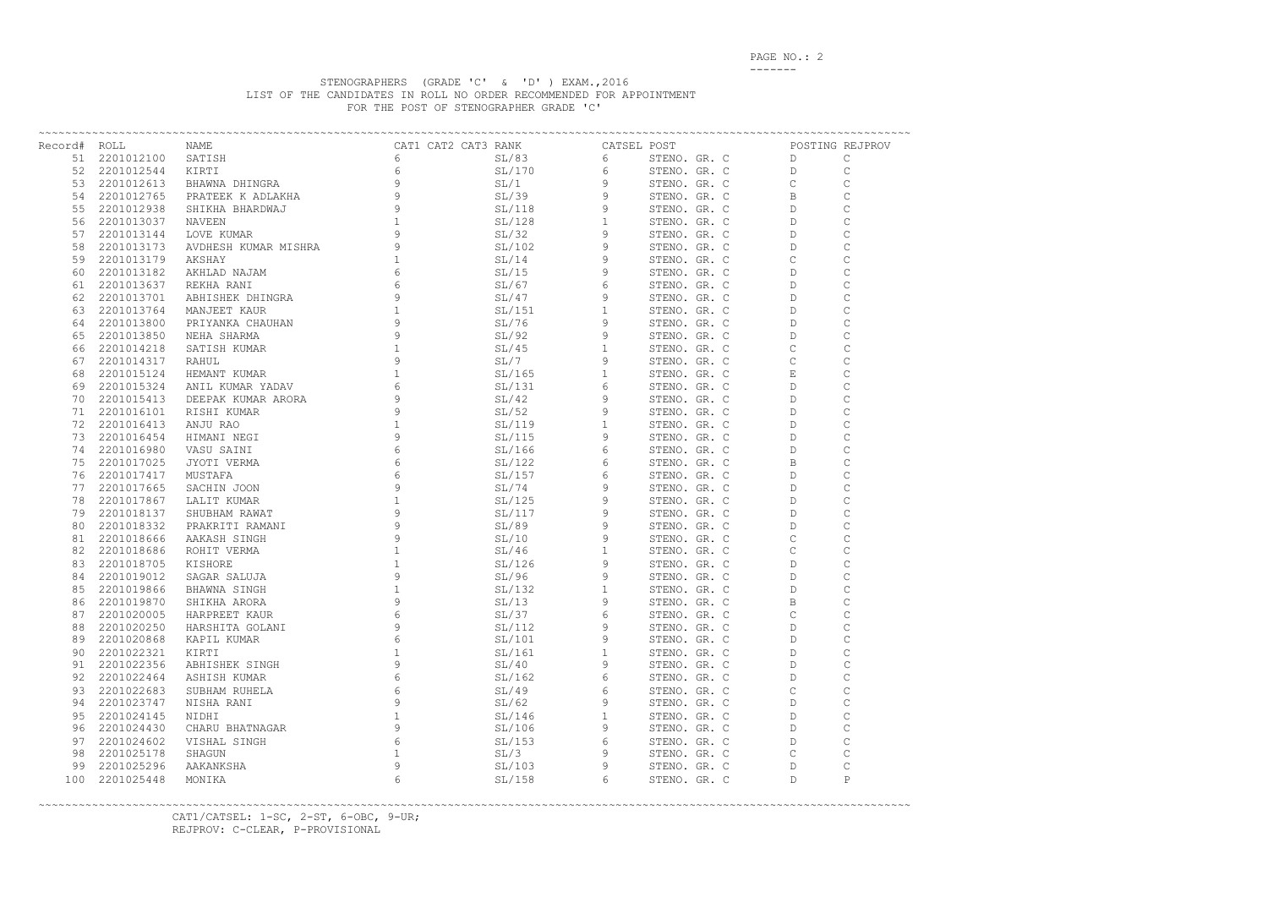PAGE NO.: 2 -------

## STENOGRAPHERS (GRADE 'C' & 'D' ) EXAM.,2016 LIST OF THE CANDIDATES IN ROLL NO ORDER RECOMMENDED FOR APPOINTMENT FOR THE POST OF STENOGRAPHER GRADE 'C'

| Record# ROLL |               |                 |   |        |   |              |                                                                                                                                                                                                                                                            | POSTING REJPROV |                |
|--------------|---------------|-----------------|---|--------|---|--------------|------------------------------------------------------------------------------------------------------------------------------------------------------------------------------------------------------------------------------------------------------------|-----------------|----------------|
|              | 51 2201012100 | SATISH          |   |        |   |              | POST<br>STENO. GR. C D<br>STENO. GR. C D<br>STENO. GR. C C<br>STENO. GR. C B<br>STENO. GR. C D<br>STENO. GR. C D<br>STENO. GR. C D<br>STENO. GR. C C<br>STENO. GR. C C<br>STENO. GR. C C<br>STENO. GR. C D<br>STENO. GR. C D<br>STENO. GR. C D<br>STENO. G |                 | $\mathsf{C}$   |
|              | 52 2201012544 |                 |   |        |   |              |                                                                                                                                                                                                                                                            |                 | С              |
|              | 53 2201012613 |                 |   |        |   |              |                                                                                                                                                                                                                                                            |                 | $\mathsf{C}$   |
| 54           | 2201012765    |                 |   |        |   |              |                                                                                                                                                                                                                                                            |                 | $\mathsf C$    |
| 55           | 2201012938    |                 |   |        |   |              |                                                                                                                                                                                                                                                            |                 | $\mathsf C$    |
| 56           | 2201013037    |                 |   |        |   |              |                                                                                                                                                                                                                                                            |                 | $\mathsf{C}$   |
| 57           | 2201013144    |                 |   |        |   |              |                                                                                                                                                                                                                                                            |                 | $\mathsf C$    |
| 58           | 2201013173    |                 |   |        |   |              |                                                                                                                                                                                                                                                            |                 | $\mathsf{C}$   |
| 59           | 2201013179    |                 |   |        |   |              |                                                                                                                                                                                                                                                            |                 | $\mathsf C$    |
|              | 60 2201013182 |                 |   |        |   |              |                                                                                                                                                                                                                                                            |                 | $\mathsf C$    |
| 61           | 2201013637    |                 |   |        |   |              |                                                                                                                                                                                                                                                            |                 | $\mathsf C$    |
|              | 62 2201013701 |                 |   |        |   |              |                                                                                                                                                                                                                                                            |                 | $\mathsf C$    |
| 63           | 2201013764    |                 |   |        |   |              | STENO. GR. C D                                                                                                                                                                                                                                             |                 | $\mathsf C$    |
| 64           | 2201013800    |                 |   |        |   |              | STENO. GR. C D                                                                                                                                                                                                                                             |                 | $\mathsf C$    |
|              | 65 2201013850 |                 |   |        |   |              | STENO. GR. C D                                                                                                                                                                                                                                             |                 | $\mathsf C$    |
|              | 66 2201014218 |                 |   |        |   |              | STENO. GR. C                                                                                                                                                                                                                                               | $\mathsf{C}$    |                |
| 67           | 2201014317    |                 |   |        |   |              | STENO. GR. C                                                                                                                                                                                                                                               | $\mathsf{C}$    |                |
| 68 -         | 2201015124    |                 |   |        |   |              |                                                                                                                                                                                                                                                            |                 |                |
| 69 -         | 2201015324    |                 |   |        |   |              | STENO. GR. C E<br>STENO. GR. C D                                                                                                                                                                                                                           |                 |                |
|              | 70 2201015413 |                 |   |        |   |              | STENO. GR. C D                                                                                                                                                                                                                                             |                 | $\mathcal{C}$  |
|              | 71 2201016101 |                 |   |        |   |              | STENO. GR. C D                                                                                                                                                                                                                                             |                 |                |
|              | 72 2201016413 |                 |   |        |   |              | STENO. GR. C D                                                                                                                                                                                                                                             |                 |                |
|              | 73 2201016454 |                 |   |        |   |              | STENO. GR. C D                                                                                                                                                                                                                                             |                 |                |
|              | 74 2201016980 |                 |   |        |   |              | STENO. GR. C D                                                                                                                                                                                                                                             |                 |                |
|              | 75 2201017025 |                 |   |        |   |              | STENO. GR. C B                                                                                                                                                                                                                                             |                 |                |
|              | 76 2201017417 |                 |   |        |   |              | STENO. GR. C D                                                                                                                                                                                                                                             |                 |                |
|              | 77 2201017665 |                 |   |        |   |              | STENO. GR. C D                                                                                                                                                                                                                                             |                 | $\mathsf C$    |
|              | 78 2201017867 |                 |   |        |   |              | STENO. GR. C D                                                                                                                                                                                                                                             |                 | $\mathsf C$    |
| 79           | 2201018137    |                 |   |        |   |              |                                                                                                                                                                                                                                                            |                 |                |
|              |               |                 |   |        |   |              | STENO. GR. C D                                                                                                                                                                                                                                             |                 |                |
| 80           | 2201018332    |                 |   |        |   |              | STENO. GR. C D                                                                                                                                                                                                                                             |                 | $\mathsf C$    |
| 81           | 2201018666    |                 |   |        |   |              | STENO. GR. C                                                                                                                                                                                                                                               | $\mathbb C$     |                |
|              | 82 2201018686 |                 |   |        |   |              | STENO. GR. C                                                                                                                                                                                                                                               | $\mathbb C$     | $\mathsf C$    |
| 83           | 2201018705    |                 |   |        |   |              | STENO. GR. C D                                                                                                                                                                                                                                             |                 | $\mathsf C$    |
|              | 84 2201019012 |                 |   |        |   |              | STENO. GR. C D                                                                                                                                                                                                                                             |                 | $\mathsf C$    |
| 85           | 2201019866    |                 |   |        |   |              | STENO. GR. C D                                                                                                                                                                                                                                             |                 | $\mathsf C$    |
| 86           | 2201019870    |                 |   |        |   | STENO. GR. C |                                                                                                                                                                                                                                                            | $\mathbf{B}$    | $\overline{C}$ |
| 87           | 2201020005    | HARPREET KAUR   | 6 | SL/37  | 6 | STENO. GR. C |                                                                                                                                                                                                                                                            | C               | C              |
| 88           | 2201020250    | HARSHITA GOLANI | 9 | SL/112 | 9 | STENO. GR. C |                                                                                                                                                                                                                                                            | D               | С              |
| 89           | 2201020868    | KAPIL KUMAR     | 6 | SL/101 | 9 | STENO. GR. C |                                                                                                                                                                                                                                                            | D               | $\mathsf C$    |
| 90           | 2201022321    | KIRTI           |   | SL/161 |   | STENO. GR. C |                                                                                                                                                                                                                                                            | D               | $\mathbf C$    |
| 91           | 2201022356    | ABHISHEK SINGH  | 9 | SL/40  | 9 | STENO. GR. C |                                                                                                                                                                                                                                                            | D               | $\mathsf C$    |
| 92           | 2201022464    | ASHISH KUMAR    | 6 | SL/162 | 6 | STENO. GR. C |                                                                                                                                                                                                                                                            | D               | $\mathbf C$    |
| 93           | 2201022683    | SUBHAM RUHELA   | 6 | SL/49  | 6 | STENO. GR. C |                                                                                                                                                                                                                                                            | C               | $\mathbf C$    |
| 94           | 2201023747    | NISHA RANI      | 9 | SL/62  | 9 | STENO. GR. C |                                                                                                                                                                                                                                                            | D               | $\mathsf C$    |
| 95           | 2201024145    | NIDHI           |   | SL/146 |   | STENO. GR. C |                                                                                                                                                                                                                                                            | D               | $\mathsf C$    |
| 96           | 2201024430    | CHARU BHATNAGAR | 9 | SL/106 | 9 | STENO. GR. C |                                                                                                                                                                                                                                                            | D               | $\mathsf C$    |
| 97           | 2201024602    | VISHAL SINGH    | 6 | SL/153 | 6 | STENO. GR. C |                                                                                                                                                                                                                                                            | D               | $\mathsf C$    |
| 98           | 2201025178    | SHAGUN          |   | SL/3   | 9 | STENO. GR. C |                                                                                                                                                                                                                                                            | C               | $\mathsf C$    |
| 99           | 2201025296    | AAKANKSHA       | 9 | SL/103 | 9 | STENO. GR. C |                                                                                                                                                                                                                                                            | D               | $\mathsf C$    |
| 100          | 2201025448    | MONIKA          | 6 | SL/158 | 6 | STENO. GR. C |                                                                                                                                                                                                                                                            | D               | Ρ              |

~~~~~~~~~~~~~~~~~~~~~~~~~~~~~~~~~~~~~~~~~~~~~~~~~~~~~~~~~~~~~~~~~~~~~~~~~~~~~~~~~~~~~~~~~~~~~~~~~~~~~~~~~~~~~~~~~~~~~~~~~~~~~~~~~~ CAT1/CATSEL: 1-SC, 2-ST, 6-OBC, 9-UR; REJPROV: C-CLEAR, P-PROVISIONAL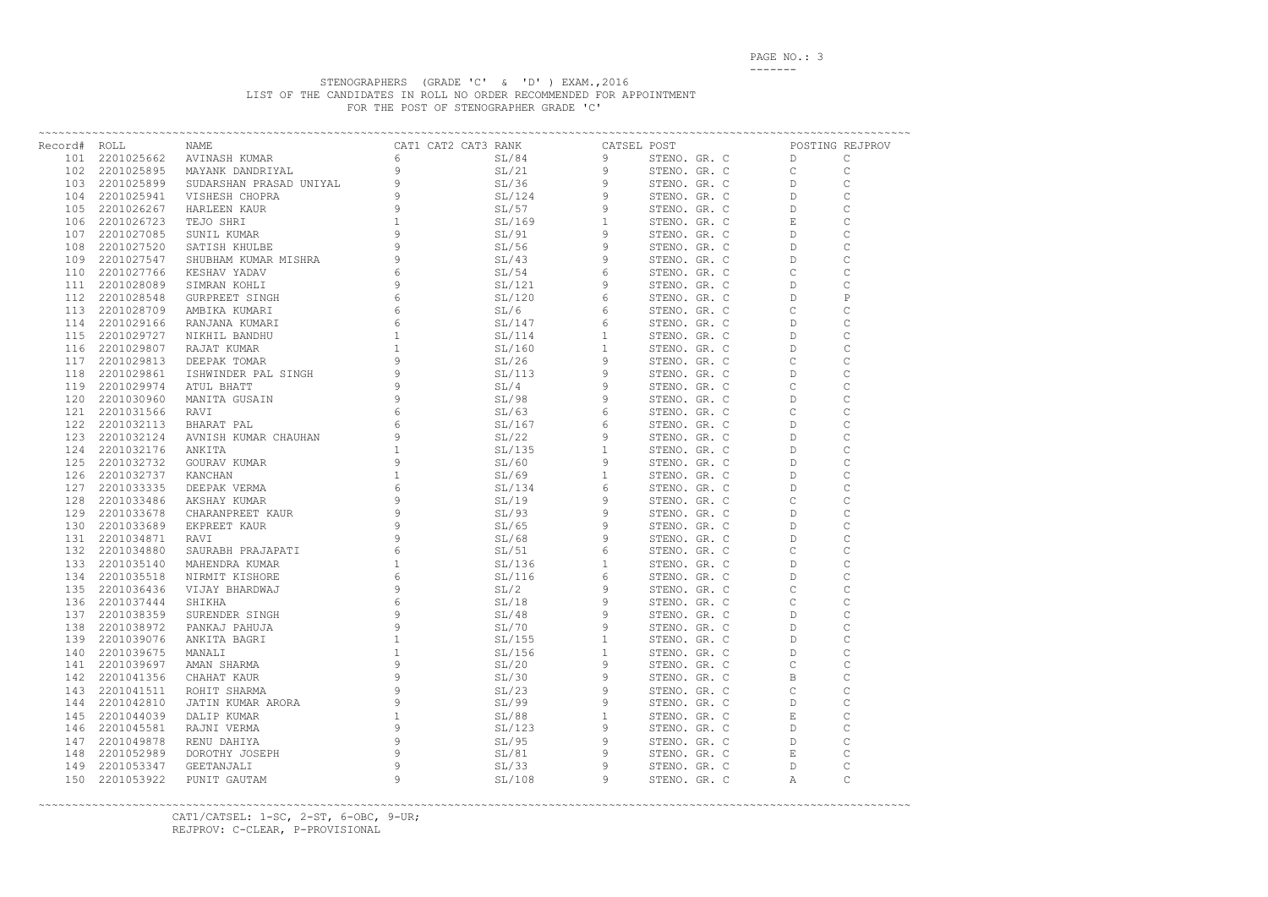PAGE NO.: 3 -------

## STENOGRAPHERS (GRADE 'C' & 'D' ) EXAM.,2016 LIST OF THE CANDIDATES IN ROLL NO ORDER RECOMMENDED FOR APPOINTMENT FOR THE POST OF STENOGRAPHER GRADE 'C'

|     |            | The contract of the contract of the state of the state of the state of the state of the state of the state of the state of the state of the state of the state of the state of the state of the state of the state of the sta |   |  |        |   |              |  | POSTING REJPROV |             |
|-----|------------|-------------------------------------------------------------------------------------------------------------------------------------------------------------------------------------------------------------------------------|---|--|--------|---|--------------|--|-----------------|-------------|
|     |            |                                                                                                                                                                                                                               |   |  |        |   |              |  |                 |             |
|     |            |                                                                                                                                                                                                                               |   |  |        |   |              |  |                 |             |
|     |            |                                                                                                                                                                                                                               |   |  |        |   |              |  |                 |             |
|     |            |                                                                                                                                                                                                                               |   |  |        |   |              |  |                 |             |
|     |            |                                                                                                                                                                                                                               |   |  |        |   |              |  |                 |             |
|     |            |                                                                                                                                                                                                                               |   |  |        |   |              |  |                 |             |
|     |            |                                                                                                                                                                                                                               |   |  |        |   |              |  |                 |             |
|     |            |                                                                                                                                                                                                                               |   |  |        |   |              |  |                 |             |
|     |            |                                                                                                                                                                                                                               |   |  |        |   |              |  |                 |             |
|     |            |                                                                                                                                                                                                                               |   |  |        |   |              |  |                 |             |
|     |            |                                                                                                                                                                                                                               |   |  |        |   |              |  |                 |             |
|     |            |                                                                                                                                                                                                                               |   |  |        |   |              |  |                 |             |
|     |            |                                                                                                                                                                                                                               |   |  |        |   |              |  |                 |             |
|     |            |                                                                                                                                                                                                                               |   |  |        |   |              |  |                 |             |
|     |            |                                                                                                                                                                                                                               |   |  |        |   |              |  |                 |             |
|     |            |                                                                                                                                                                                                                               |   |  |        |   |              |  |                 |             |
|     |            |                                                                                                                                                                                                                               |   |  |        |   |              |  |                 |             |
|     |            |                                                                                                                                                                                                                               |   |  |        |   |              |  |                 |             |
|     |            |                                                                                                                                                                                                                               |   |  |        |   |              |  |                 |             |
|     |            |                                                                                                                                                                                                                               |   |  |        |   |              |  |                 |             |
|     |            |                                                                                                                                                                                                                               |   |  |        |   |              |  |                 |             |
|     |            |                                                                                                                                                                                                                               |   |  |        |   |              |  |                 |             |
|     |            |                                                                                                                                                                                                                               |   |  |        |   |              |  |                 |             |
|     |            |                                                                                                                                                                                                                               |   |  |        |   |              |  |                 |             |
|     |            |                                                                                                                                                                                                                               |   |  |        |   |              |  |                 |             |
|     |            |                                                                                                                                                                                                                               |   |  |        |   |              |  |                 |             |
|     |            |                                                                                                                                                                                                                               |   |  |        |   |              |  |                 |             |
|     |            |                                                                                                                                                                                                                               |   |  |        |   |              |  |                 |             |
|     |            |                                                                                                                                                                                                                               |   |  |        |   |              |  |                 |             |
|     |            |                                                                                                                                                                                                                               |   |  |        |   |              |  |                 |             |
|     |            |                                                                                                                                                                                                                               |   |  |        |   |              |  |                 |             |
|     |            |                                                                                                                                                                                                                               |   |  |        |   |              |  |                 |             |
|     |            |                                                                                                                                                                                                                               |   |  |        |   |              |  |                 |             |
|     |            |                                                                                                                                                                                                                               |   |  |        |   |              |  |                 |             |
|     |            |                                                                                                                                                                                                                               |   |  |        |   |              |  |                 |             |
|     |            |                                                                                                                                                                                                                               |   |  |        |   |              |  |                 |             |
|     |            |                                                                                                                                                                                                                               |   |  |        |   |              |  |                 |             |
|     |            |                                                                                                                                                                                                                               |   |  |        |   |              |  |                 |             |
|     |            |                                                                                                                                                                                                                               |   |  |        |   |              |  |                 |             |
|     |            |                                                                                                                                                                                                                               |   |  |        |   |              |  |                 |             |
|     |            |                                                                                                                                                                                                                               |   |  |        |   |              |  |                 |             |
| 141 | 2201039697 | AMAN SHARMA                                                                                                                                                                                                                   | 9 |  | SL/20  | 9 | STENO. GR. C |  | C               | $\mathsf C$ |
| 142 | 2201041356 | CHAHAT KAUR                                                                                                                                                                                                                   | 9 |  | SL/30  | 9 | STENO. GR. C |  | Β               | $\mathsf C$ |
| 143 | 2201041511 | ROHIT SHARMA                                                                                                                                                                                                                  | 9 |  | SL/23  | 9 | STENO. GR. C |  | C               | $\mathsf C$ |
| 144 | 2201042810 | JATIN KUMAR ARORA                                                                                                                                                                                                             | 9 |  | SL/99  | 9 | STENO. GR. C |  | D               | $\mathsf C$ |
| 145 | 2201044039 | DALIP KUMAR                                                                                                                                                                                                                   |   |  | SL/88  | 1 | STENO. GR. C |  | Е               | $\mathsf C$ |
| 146 | 2201045581 | RAJNI VERMA                                                                                                                                                                                                                   | 9 |  | SL/123 | 9 | STENO. GR. C |  | D               | $\mathbf C$ |
| 147 | 2201049878 | RENU DAHIYA                                                                                                                                                                                                                   | 9 |  | SL/95  | 9 | STENO. GR. C |  | D               | $\mathsf C$ |
| 148 | 2201052989 | DOROTHY JOSEPH                                                                                                                                                                                                                | 9 |  | SL/81  | 9 | STENO. GR. C |  | Е               | $\mathsf C$ |
| 149 | 2201053347 | GEETANJALI                                                                                                                                                                                                                    | 9 |  | SL/33  | 9 | STENO. GR. C |  | D               | $\mathsf C$ |
| 150 | 2201053922 | PUNIT GAUTAM                                                                                                                                                                                                                  | 9 |  | SL/108 | 9 | STENO. GR. C |  | Α               | $\mathbf C$ |

~~~~~~~~~~~~~~~~~~~~~~~~~~~~~~~~~~~~~~~~~~~~~~~~~~~~~~~~~~~~~~~~~~~~~~~~~~~~~~~~~~~~~~~~~~~~~~~~~~~~~~~~~~~~~~~~~~~~~~~~~~~~~~~~~~ CAT1/CATSEL: 1-SC, 2-ST, 6-OBC, 9-UR; REJPROV: C-CLEAR, P-PROVISIONAL